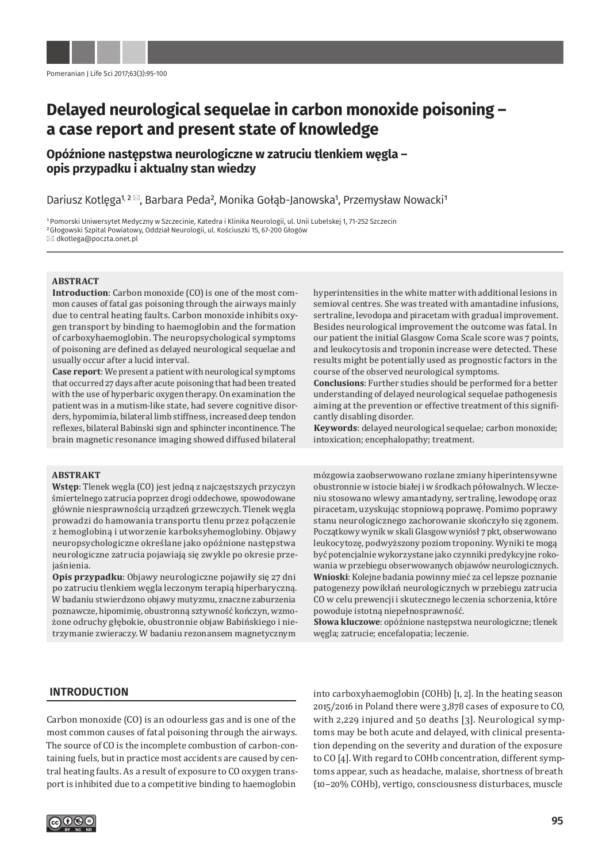# **Delayed neurological sequelae in carbon monoxide poisoning – a case report and present state of knowledge**

# **Opóźnione następstwa neurologiczne w zatruciu tlenkiem węgla – opis przypadku i aktualny stan wiedzy**

Dariusz Kotlęga<sup>1, 2⊠</sup>, Barbara Peda<sup>2</sup>, Monika Gołąb-Janowska<sup>1</sup>, Przemysław Nowacki<sup>1</sup>

1Pomorski Uniwersytet Medyczny w Szczecinie, Katedra i Klinika Neurologii, ul. Unii Lubelskej 1, 71-252 Szczecin 2Głogowski Szpital Powiatowy, Oddział Neurologii, ul. Kościuszki 15, 67-200 Głogów dkotlega@poczta.onet.pl

#### **ABSTRACT**

**Introduction**: Carbon monoxide (CO) is one of the most common causes of fatal gas poisoning through the airways mainly due to central heating faults. Carbon monoxide inhibits oxygen transport by binding to haemoglobin and the formation of carboxyhaemoglobin. The neuropsychological symptoms of poisoning are defined as delayed neurological sequelae and usually occur after a lucid interval.

**Case report**: We present a patient with neurological symptoms that occurred 27 days after acute poisoning that had been treated with the use of hyperbaric oxygen therapy. On examination the patient was in a mutism-like state, had severe cognitive disorders, hypomimia, bilateral limb stiffness, increased deep tendon reflexes, bilateral Babinski sign and sphincter incontinence. The brain magnetic resonance imaging showed diffused bilateral

#### **ABSTRAKT**

**Wstęp**: Tlenek węgla (CO) jest jedną z najczęstszych przyczyn śmiertelnego zatrucia poprzez drogi oddechowe, spowodowane głównie niesprawnością urządzeń grzewczych. Tlenek węgla prowadzi do hamowania transportu tlenu przez połączenie z hemoglobiną i utworzenie karboksyhemoglobiny. Objawy neuropsychologiczne określane jako opóźnione następstwa neurologiczne zatrucia pojawiają się zwykle po okresie przejaśnienia.

**Opis przypadku**: Objawy neurologiczne pojawiły się 27 dni po zatruciu tlenkiem węgla leczonym terapią hiperbaryczną. W badaniu stwierdzono objawy mutyzmu, znaczne zaburzenia poznawcze, hipomimię, obustronną sztywność kończyn, wzmożone odruchy głębokie, obustronnie objaw Babińskiego i nietrzymanie zwieraczy. W badaniu rezonansem magnetycznym

hyperintensities in the white matter with additional lesions in semioval centres. She was treated with amantadine infusions, sertraline, levodopa and piracetam with gradual improvement. Besides neurological improvement the outcome was fatal. In our patient the initial Glasgow Coma Scale score was 7 points, and leukocytosis and troponin increase were detected. These results might be potentially used as prognostic factors in the course of the observed neurological symptoms.

**Conclusions**: Further studies should be performed for a better understanding of delayed neurological sequelae pathogenesis aiming at the prevention or effective treatment of this significantly disabling disorder.

**Keywords**: delayed neurological sequelae; carbon monoxide; intoxication; encephalopathy; treatment.

mózgowia zaobserwowano rozlane zmiany hiperintensywne obustronnie w istocie białej i w środkach półowalnych. W leczeniu stosowano wlewy amantadyny, sertralinę, lewodopę oraz piracetam, uzyskując stopniową poprawę. Pomimo poprawy stanu neurologicznego zachorowanie skończyło się zgonem. Początkowy wynik w skali Glasgow wyniósł 7 pkt, obserwowano leukocytozę, podwyższony poziom troponiny. Wyniki te mogą być potencjalnie wykorzystane jako czynniki predykcyjne rokowania w przebiegu obserwowanych objawów neurologicznych. **Wnioski**: Kolejne badania powinny mieć za cel lepsze poznanie patogenezy powikłań neurologicznych w przebiegu zatrucia CO w celu prewencji i skutecznego leczenia schorzenia, które powoduje istotną niepełnosprawność.

**Słowa kluczowe**: opóźnione następstwa neurologiczne; tlenek węgla; zatrucie; encefalopatia; leczenie.

# **INTRODUCTION**

Carbon monoxide (CO) is an odourless gas and is one of the most common causes of fatal poisoning through the airways. The source of CO is the incomplete combustion of carbon-containing fuels, but in practice most accidents are caused by central heating faults. As a result of exposure to CO oxygen transport is inhibited due to a competitive binding to haemoglobin

into carboxyhaemoglobin (COHb) [1, 2]. In the heating season 2015/2016 in Poland there were 3,878 cases of exposure to CO, with 2,229 injured and 50 deaths [3]. Neurological symptoms may be both acute and delayed, with clinical presentation depending on the severity and duration of the exposure to CO [4]. With regard to COHb concentration, different symptoms appear, such as headache, malaise, shortness of breath (10–20% COHb), vertigo, consciousness disturbaces, muscle

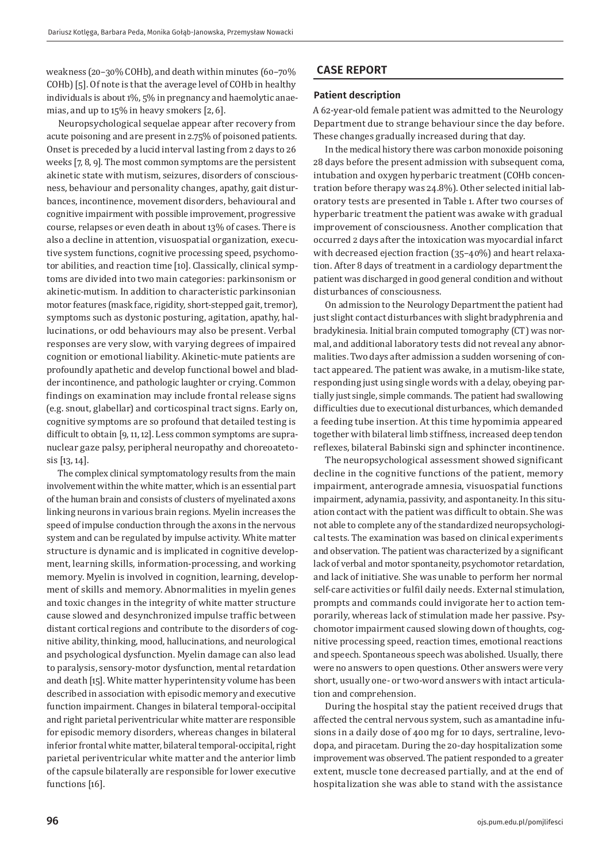weakness (20–30% COHb), and death within minutes (60–70% COHb)[5]. Of note is that the average level of COHb in healthy individuals is about 1%, 5% in pregnancy and haemolytic anaemias, and up to 15% in heavy smokers [2, 6].

Neuropsychological sequelae appear after recovery from acute poisoning and are present in 2.75% of poisoned patients. Onset is preceded by a lucid interval lasting from 2 days to 26 weeks [7, 8, 9]. The most common symptoms are the persistent akinetic state with mutism, seizures, disorders of consciousness, behaviour and personality changes, apathy, gait disturbances, incontinence, movement disorders, behavioural and cognitive impairment with possible improvement, progressive course, relapses or even death in about 13% of cases. There is also a decline in attention, visuospatial organization, executive system functions, cognitive processing speed, psychomotor abilities, and reaction time [10]. Classically, clinical symptoms are divided into two main categories: parkinsonism or akinetic-mutism. In addition to characteristic parkinsonian motor features (mask face, rigidity, short-stepped gait, tremor), symptoms such as dystonic posturing, agitation, apathy, hallucinations, or odd behaviours may also be present. Verbal responses are very slow, with varying degrees of impaired cognition or emotional liability. Akinetic-mute patients are profoundly apathetic and develop functional bowel and bladder incontinence, and pathologic laughter or crying. Common findings on examination may include frontal release signs (e.g. snout, glabellar) and corticospinal tract signs. Early on, cognitive symptoms are so profound that detailed testing is difficult to obtain [9, 11, 12]. Less common symptoms are supranuclear gaze palsy, peripheral neuropathy and choreoatetosis [13, 14].

The complex clinical symptomatology results from the main involvement within the white matter, which is an essential part of the human brain and consists of clusters of myelinated axons linking neurons in various brain regions. Myelin increases the speed of impulse conduction through the axons in the nervous system and can be regulated by impulse activity. White matter structure is dynamic and is implicated in cognitive development, learning skills, information-processing, and working memory. Myelin is involved in cognition, learning, development of skills and memory. Abnormalities in myelin genes and toxic changes in the integrity of white matter structure cause slowed and desynchronized impulse traffic between distant cortical regions and contribute to the disorders of cognitive ability, thinking, mood, hallucinations, and neurological and psychological dysfunction. Myelin damage can also lead to paralysis, sensory-motor dysfunction, mental retardation and death [15]. White matter hyperintensity volume has been described in association with episodic memory and executive function impairment. Changes in bilateral temporal-occipital and right parietal periventricular white matter are responsible for episodic memory disorders, whereas changes in bilateral inferior frontal white matter, bilateral temporal-occipital, right parietal periventricular white matter and the anterior limb of the capsule bilaterally are responsible for lower executive functions [16].

# **CASE REPORT**

#### **Patient description**

A 62-year-old female patient was admitted to the Neurology Department due to strange behaviour since the day before. These changes gradually increased during that day.

In the medical history there was carbon monoxide poisoning 28 days before the present admission with subsequent coma, intubation and oxygen hyperbaric treatment (COHb concentration before therapy was 24.8%). Other selected initial laboratory tests are presented in Table 1. After two courses of hyperbaric treatment the patient was awake with gradual improvement of consciousness. Another complication that occurred 2 days after the intoxication was myocardial infarct with decreased ejection fraction (35–40%) and heart relaxation. After 8 days of treatment in a cardiology department the patient was discharged in good general condition and without disturbances of consciousness.

On admission to the Neurology Department the patient had just slight contact disturbances with slight bradyphrenia and bradykinesia. Initial brain computed tomography (CT) was normal, and additional laboratory tests did not reveal any abnormalities. Two days after admission a sudden worsening of contact appeared. The patient was awake, in a mutism-like state, responding just using single words with a delay, obeying partially just single, simple commands. The patient had swallowing difficulties due to executional disturbances, which demanded a feeding tube insertion. At this time hypomimia appeared together with bilateral limb stiffness, increased deep tendon reflexes, bilateral Babinski sign and sphincter incontinence.

The neuropsychological assessment showed significant decline in the cognitive functions of the patient, memory impairment, anterograde amnesia, visuospatial functions impairment, adynamia, passivity, and aspontaneity. In this situation contact with the patient was difficult to obtain. She was not able to complete any of the standardized neuropsychological tests. The examination was based on clinical experiments and observation. The patient was characterized by a significant lack of verbal and motor spontaneity, psychomotor retardation, and lack of initiative. She was unable to perform her normal self-care activities or fulfil daily needs. External stimulation, prompts and commands could invigorate her to action temporarily, whereas lack of stimulation made her passive. Psychomotor impairment caused slowing down of thoughts, cognitive processing speed, reaction times, emotional reactions and speech. Spontaneous speech was abolished. Usually, there were no answers to open questions. Other answers were very short, usually one- or two-word answers with intact articulation and comprehension.

During the hospital stay the patient received drugs that affected the central nervous system, such as amantadine infusions in a daily dose of 400 mg for 10 days, sertraline, levodopa, and piracetam. During the 20-day hospitalization some improvement was observed. The patient responded to a greater extent, muscle tone decreased partially, and at the end of hospitalization she was able to stand with the assistance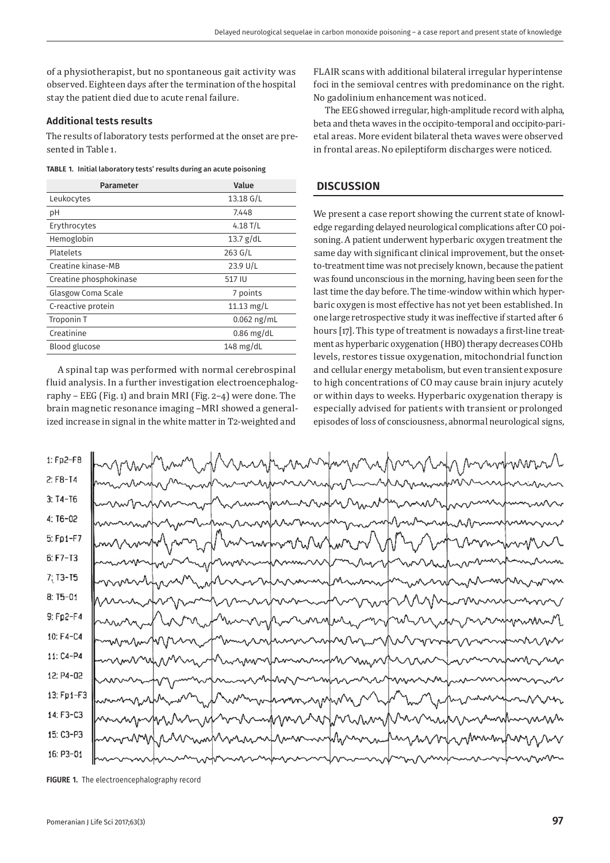of a physiotherapist, but no spontaneous gait activity was observed. Eighteen days after the termination of the hospital stay the patient died due to acute renal failure.

## **Additional tests results**

The results of laboratory tests performed at the onset are presented in Table 1.

| TABLE 1. Initial laboratory tests' results during an acute poisoning |  |
|----------------------------------------------------------------------|--|
|                                                                      |  |

| Parameter              | Value               |  |
|------------------------|---------------------|--|
| Leukocytes             | $13.18 \text{ G/L}$ |  |
| рH                     | 7.448               |  |
| Erythrocytes           | 4.18 $T/L$          |  |
| Hemoglobin             | 13.7 $g/dL$         |  |
| Platelets              | $263$ G/L           |  |
| Creatine kinase-MB     | $23.9$ U/L          |  |
| Creatine phosphokinase | 517 IU              |  |
| Glasgow Coma Scale     | 7 points            |  |
| C-reactive protein     | 11.13 $mg/L$        |  |
| Troponin T             | $0.062$ ng/mL       |  |
| Creatinine             | $0.86$ mg/dL        |  |
| Blood glucose          | $148$ mg/dL         |  |

A spinal tap was performed with normal cerebrospinal fluid analysis. In a further investigation electroencephalography – EEG (Fig. 1) and brain MRI (Fig. 2–4) were done. The brain magnetic resonance imaging –MRI showed a generalized increase in signal in the white matter in T2-weighted and

FLAIR scans with additional bilateral irregular hyperintense foci in the semioval centres with predominance on the right. No gadolinium enhancement was noticed.

The EEG showed irregular, high-amplitude record with alpha, beta and theta waves in the occipito-temporal and occipito-parietal areas. More evident bilateral theta waves were observed in frontal areas. No epileptiform discharges were noticed.

#### **DISCUSSION**

We present a case report showing the current state of knowledge regarding delayed neurological complications after CO poisoning. A patient underwent hyperbaric oxygen treatment the same day with significant clinical improvement, but the onsetto-treatment time was not precisely known, because the patient was found unconscious in the morning, having been seen for the last time the day before. The time-window within which hyperbaric oxygen is most effective has not yet been established. In one large retrospective study it was ineffective if started after 6 hours [17]. This type of treatment is nowadays a first-line treatment as hyperbaric oxygenation (HBO) therapy decreases COHb levels, restores tissue oxygenation, mitochondrial function and cellular energy metabolism, but even transient exposure to high concentrations of CO may cause brain injury acutely or within days to weeks. Hyperbaric oxygenation therapy is especially advised for patients with transient or prolonged episodes of loss of consciousness, abnormal neurological signs,



**FIGURE 1.** The electroencephalography record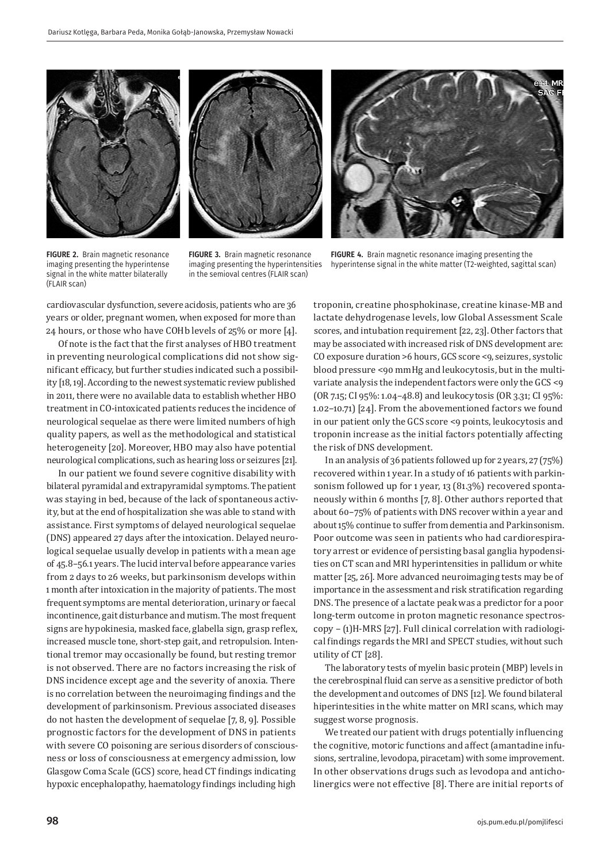



FIGURE 2. Brain magnetic resonance imaging presenting the hyperintense signal in the white matter bilaterally (FLAIR scan)

**FIGURE 3.** Brain magnetic resonance imaging presenting the hyperintensities in the semioval centres (FLAIR scan)

FIGURE 4. Brain magnetic resonance imaging presenting the hyperintense signal in the white matter (T2-weighted, sagittal scan)

cardiovascular dysfunction, severe acidosis, patients who are 36 years or older, pregnant women, when exposed for more than 24 hours, or those who have COHb levels of 25% or more [4].

Of note is the fact that the first analyses of HBO treatment in preventing neurological complications did not show significant efficacy, but further studies indicated such a possibility [18, 19]. According to the newest systematic review published in 2011, there were no available data to establish whether HBO treatment in CO-intoxicated patients reduces the incidence of neurological sequelae as there were limited numbers of high quality papers, as well as the methodological and statistical heterogeneity [20]. Moreover, HBO may also have potential neurological complications, such as hearing loss or seizures [21].

In our patient we found severe cognitive disability with bilateral pyramidal and extrapyramidal symptoms. The patient was staying in bed, because of the lack of spontaneous activity, but at the end of hospitalization she was able to stand with assistance. First symptoms of delayed neurological sequelae (DNS) appeared 27 days after the intoxication. Delayed neurological sequelae usually develop in patients with a mean age of 45.8–56.1 years. The lucid interval before appearance varies from 2 days to 26 weeks, but parkinsonism develops within 1 month after intoxication in the majority of patients. The most frequent symptoms are mental deterioration, urinary or faecal incontinence, gait disturbance and mutism. The most frequent signs are hypokinesia, masked face, glabella sign, grasp reflex, increased muscle tone, short-step gait, and retropulsion. Intentional tremor may occasionally be found, but resting tremor is not observed. There are no factors increasing the risk of DNS incidence except age and the severity of anoxia. There is no correlation between the neuroimaging findings and the development of parkinsonism. Previous associated diseases do not hasten the development of sequelae [7, 8, 9]. Possible prognostic factors for the development of DNS in patients with severe CO poisoning are serious disorders of consciousness or loss of consciousness at emergency admission, low Glasgow Coma Scale (GCS) score, head CT findings indicating hypoxic encephalopathy, haematology findings including high

troponin, creatine phosphokinase, creatine kinase-MB and lactate dehydrogenase levels, low Global Assessment Scale scores, and intubation requirement [22, 23]. Other factors that may be associated with increased risk of DNS development are: CO exposure duration >6 hours, GCS score <9, seizures, systolic blood pressure <90 mmHg and leukocytosis, but in the multivariate analysis the independent factors were only the GCS <9 (OR 7.15; CI 95%: 1.04–48.8) and leukocytosis (OR 3.31; CI 95%: 1.02–10.71) [24]. From the abovementioned factors we found in our patient only the GCS score <9 points, leukocytosis and troponin increase as the initial factors potentially affecting the risk of DNS development.

In an analysis of 36 patients followed up for 2 years, 27 (75%) recovered within 1 year. In a study of 16 patients with parkinsonism followed up for 1 year, 13 (81.3%) recovered spontaneously within 6 months [7, 8]. Other authors reported that about 60–75% of patients with DNS recover within a year and about 15% continue to suffer from dementia and Parkinsonism. Poor outcome was seen in patients who had cardiorespiratory arrest or evidence of persisting basal ganglia hypodensities on CT scan and MRI hyperintensities in pallidum or white matter [25, 26]. More advanced neuroimaging tests may be of importance in the assessment and risk stratification regarding DNS. The presence of a lactate peak was a predictor for a poor long-term outcome in proton magnetic resonance spectroscopy – (1)H-MRS [27]. Full clinical correlation with radiological findings regards the MRI and SPECT studies, without such utility of CT [28].

The laboratory tests of myelin basic protein (MBP) levels in the cerebrospinal fluid can serve as a sensitive predictor of both the development and outcomes of DNS [12]. We found bilateral hiperintesities in the white matter on MRI scans, which may suggest worse prognosis.

We treated our patient with drugs potentially influencing the cognitive, motoric functions and affect (amantadine infusions, sertraline, levodopa, piracetam) with some improvement. In other observations drugs such as levodopa and anticholinergics were not effective [8]. There are initial reports of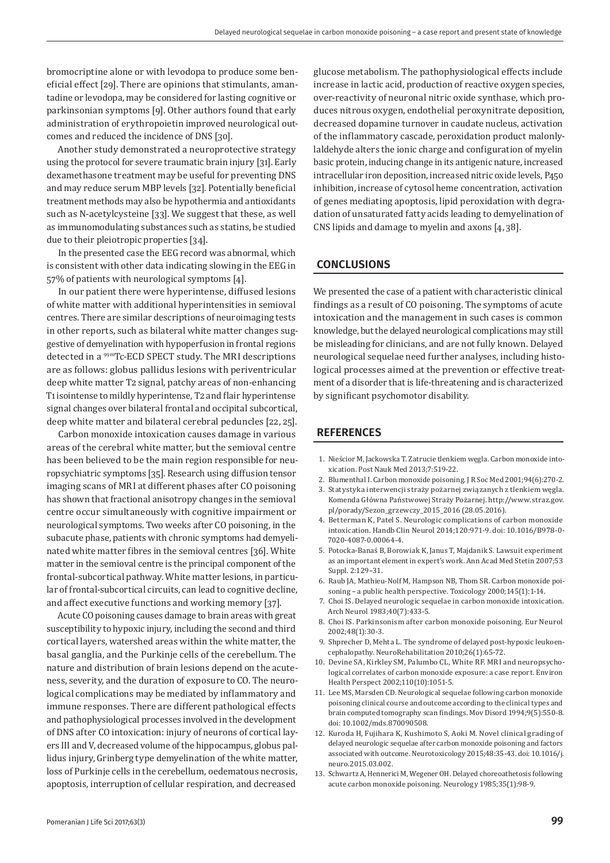bromocriptine alone or with levodopa to produce some beneficial effect [29]. There are opinions that stimulants, amantadine or levodopa, may be considered for lasting cognitive or parkinsonian symptoms [9]. Other authors found that early administration of erythropoietin improved neurological outcomes and reduced the incidence of DNS [30].

Another study demonstrated a neuroprotective strategy using the protocol for severe traumatic brain injury [31]. Early dexamethasone treatment may be useful for preventing DNS and may reduce serum MBP levels [32]. Potentially beneficial treatment methods may also be hypothermia and antioxidants such as N-acetylcysteine [33]. We suggest that these, as well as immunomodulating substances such as statins, be studied due to their pleiotropic properties [34].

In the presented case the EEG record was abnormal, which is consistent with other data indicating slowing in the EEG in 57% of patients with neurological symptoms [4].

In our patient there were hyperintense, diffused lesions of white matter with additional hyperintensities in semioval centres. There are similar descriptions of neuroimaging tests in other reports, such as bilateral white matter changes suggestive of demyelination with hypoperfusion in frontal regions detected in a 99mTc-ECD SPECT study. The MRI descriptions are as follows: globus pallidus lesions with periventricular deep white matter T2 signal, patchy areas of non-enhancing T1 isointense to mildly hyperintense, T2 and flair hyperintense signal changes over bilateral frontal and occipital subcortical, deep white matter and bilateral cerebral peduncles [22, 25].

Carbon monoxide intoxication causes damage in various areas of the cerebral white matter, but the semioval centre has been believed to be the main region responsible for neuropsychiatric symptoms [35]. Research using diffusion tensor imaging scans of MRI at different phases after CO poisoning has shown that fractional anisotropy changes in the semioval centre occur simultaneously with cognitive impairment or neurological symptoms. Two weeks after CO poisoning, in the subacute phase, patients with chronic symptoms had demyelinated white matter fibres in the semioval centres [36]. White matter in the semioval centre is the principal component of the frontal-subcortical pathway. White matter lesions, in particular of frontal-subcortical circuits, can lead to cognitive decline, and affect executive functions and working memory [37].

Acute CO poisoning causes damage to brain areas with great susceptibility to hypoxic injury, including the second and third cortical layers, watershed areas within the white matter, the basal ganglia, and the Purkinje cells of the cerebellum. The nature and distribution of brain lesions depend on the acuteness, severity, and the duration of exposure to CO. The neurological complications may be mediated by inflammatory and immune responses. There are different pathological effects and pathophysiological processes involved in the development of DNS after CO intoxication: injury of neurons of cortical layers III and V, decreased volume of the hippocampus, globus pallidus injury, Grinberg type demyelination of the white matter, loss of Purkinje cells in the cerebellum, oedematous necrosis, apoptosis, interruption of cellular respiration, and decreased

glucose metabolism. The pathophysiological effects include increase in lactic acid, production of reactive oxygen species, over-reactivity of neuronal nitric oxide synthase, which produces nitrous oxygen, endothelial peroxynitrate deposition, decreased dopamine turnover in caudate nucleus, activation of the inflammatory cascade, peroxidation product malonlylaldehyde alters the ionic charge and configuration of myelin basic protein, inducing change in its antigenic nature, increased intracellular iron deposition, increased nitric oxide levels, P450 inhibition, increase of cytosol heme concentration, activation of genes mediating apoptosis, lipid peroxidation with degradation of unsaturated fatty acids leading to demyelination of CNS lipids and damage to myelin and axons [4, 38].

#### **CONCLUSIONS**

We presented the case of a patient with characteristic clinical findings as a result of CO poisoning. The symptoms of acute intoxication and the management in such cases is common knowledge, but the delayed neurological complications may still be misleading for clinicians, and are not fully known. Delayed neurological sequelae need further analyses, including histological processes aimed at the prevention or effective treatment of a disorder that is life-threatening and is characterized by significant psychomotor disability.

### **REFERENCES**

- 1. Nieścior M, Jackowska T. Zatrucie tlenkiem węgla. Carbon monoxide intoxication. Post Nauk Med 2013;7:519-22.
- 2. Blumenthal I. Carbon monoxide poisoning. J R Soc Med 2001;94(6):270-2.
- 3. Statystyka interwencji straży pożarnej związanych z tlenkiem węgla. Komenda Główna Państwowej Straży Pożarnej. http://www.straz.gov. pl/porady/Sezon\_grzewczy\_2015\_2016 (28.05.2016).
- 4. Betterman K, Patel S. Neurologic complications of carbon monoxide intoxication. Handb Clin Neurol 2014;120:971-9. doi: 10.1016/B978-0- 7020-4087-0.00064-4.
- 5. Potocka-Banaś B, Borowiak K, Janus T, Majdanik S. Lawsuit experiment as an important element in expert's work. Ann Acad Med Stetin 2007;53 Suppl. 2:129–31.
- 6. Raub JA, Mathieu-Nolf M, Hampson NB, Thom SR. Carbon monoxide poisoning – a public health perspective. Toxicology 2000;145(1):1-14.
- 7. Choi IS. Delayed neurologic sequelae in carbon monoxide intoxication. Arch Neurol 1983;40(7):433-5.
- 8. Choi IS. Parkinsonism after carbon monoxide poisoning. Eur Neurol 2002;48(1):30-3.
- 9. Shprecher D, Mehta L. The syndrome of delayed post-hypoxic leukoencephalopathy. NeuroRehabilitation 2010;26(1):65-72.
- 10. Devine SA, Kirkley SM, Palumbo CL, White RF. MRI and neuropsychological correlates of carbon monoxide exposure: a case report. Environ Health Perspect 2002;110(10):1051-5.
- 11. Lee MS, Marsden CD. Neurological sequelae following carbon monoxide poisoning clinical course and outcome according to the clinical types and brain computed tomography scan findings. Mov Disord 1994;9(5):550-8. doi: 10.1002/mds.870090508.
- 12. Kuroda H, Fujihara K, Kushimoto S, Aoki M. Novel clinical grading of delayed neurologic sequelae after carbon monoxide poisoning and factors associated with outcome. Neurotoxicology 2015;48:35-43. doi: 10.1016/j. neuro.2015.03.002.
- 13. Schwartz A, Hennerici M, Wegener OH. Delayed choreoathetosis following acute carbon monoxide poisoning. Neurology 1985;35(1):98-9.